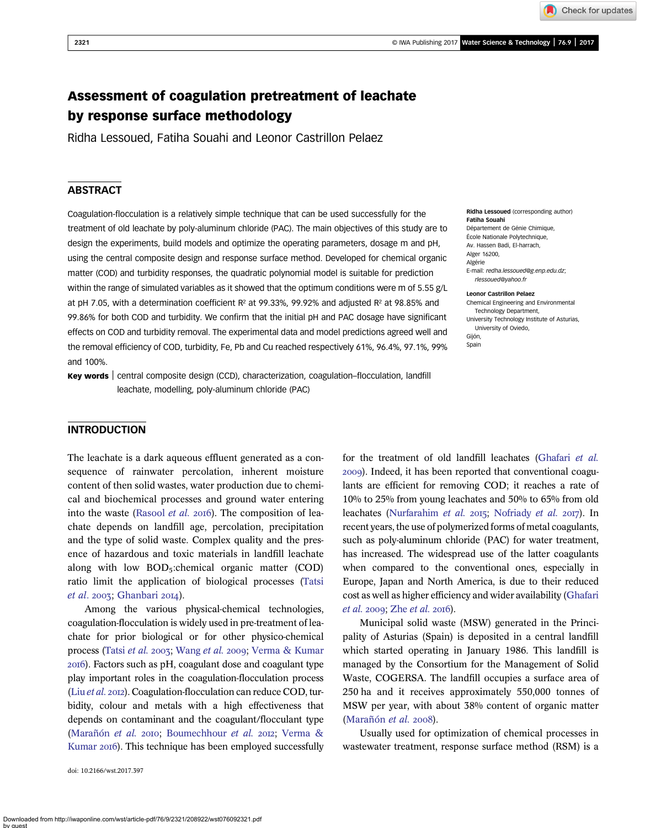Check for updates

# Assessment of coagulation pretreatment of leachate by response surface methodology

Ridha Lessoued, Fatiha Souahi and Leonor Castrillon Pelaez

# **ABSTRACT**

Coagulation-flocculation is a relatively simple technique that can be used successfully for the treatment of old leachate by poly-aluminum chloride (PAC). The main objectives of this study are to design the experiments, build models and optimize the operating parameters, dosage m and pH, using the central composite design and response surface method. Developed for chemical organic matter (COD) and turbidity responses, the quadratic polynomial model is suitable for prediction within the range of simulated variables as it showed that the optimum conditions were m of 5.55 g/L at pH 7.05, with a determination coefficient  $R^2$  at 99.33%, 99.92% and adjusted  $R^2$  at 98.85% and 99.86% for both COD and turbidity. We confirm that the initial pH and PAC dosage have significant effects on COD and turbidity removal. The experimental data and model predictions agreed well and the removal efficiency of COD, turbidity, Fe, Pb and Cu reached respectively 61%, 96.4%, 97.1%, 99% and 100%.

Key words | central composite design (CCD), characterization, coagulation-flocculation, landfill leachate, modelling, poly-aluminum chloride (PAC)

Ridha Lessoued (corresponding author) Fatiha Souahi Département de Génie Chimique, École Nationale Polytechnique, Av. Hassen Badi, El-harrach, Alger 16200, Algérie

E-mail: [redha.lessoued@g.enp.edu.dz](mailto:redha.lessoued@g.enp.edu.dz); [rlessoued@yahoo.fr](mailto:rlessoued@yahoo.fr)

Leonor Castrillon Pelaez Chemical Engineering and Environmental Technology Department, University Technology Institute of Asturias, University of Oviedo, Gijón, Spain

# **INTRODUCTION**

The leachate is a dark aqueous effluent generated as a consequence of rainwater percolation, inherent moisture content of then solid wastes, water production due to chemical and biochemical processes and ground water entering into the waste [\(Rasool](#page-6-0) *et al.* 2016). The composition of leachate depends on landfill age, percolation, precipitation and the type of solid waste. Complex quality and the presence of hazardous and toxic materials in landfill leachate along with low BOD<sub>5</sub>: chemical organic matter (COD) ratio limit the application of biological processes ([Tatsi](#page-6-0)  $et$  al. 2003; [Ghanbari](#page-6-0) 2014).

Among the various physical-chemical technologies, coagulation-flocculation is widely used in pre-treatment of leachate for prior biological or for other physico-chemical process [\(Tatsi](#page-6-0) et al. 2003; [Wang](#page-6-0) et al. 2009; [Verma & Kumar](#page-6-0) ). Factors such as pH, coagulant dose and coagulant type play important roles in the coagulation-flocculation process (Liu [et al.](#page-6-0) 2012). Coagulation-flocculation can reduce COD, turbidity, colour and metals with a high effectiveness that depends on contaminant and the coagulant/flocculant type [\(Marañón](#page-6-0) et al. 2010; [Boumechhour](#page-6-0) et al. 2012; [Verma &](#page-6-0) [Kumar](#page-6-0) 2016). This technique has been employed successfully

doi: 10.2166/wst.2017.397

for the treatment of old landfill leachates ([Ghafari](#page-6-0) et al. ). Indeed, it has been reported that conventional coagulants are efficient for removing COD; it reaches a rate of 10% to 25% from young leachates and 50% to 65% from old leachates ([Nurfarahim](#page-6-0) et al. 2015; [Nofriady](#page-6-0) et al. 2017). In recent years, the use of polymerized forms of metal coagulants, such as poly-aluminum chloride (PAC) for water treatment, has increased. The widespread use of the latter coagulants when compared to the conventional ones, especially in Europe, Japan and North America, is due to their reduced cost as well as higher efficiency and wider availability [\(Ghafari](#page-6-0)  $et$  al. 2009; Zhe  $et$  al. 2016).

Municipal solid waste (MSW) generated in the Principality of Asturias (Spain) is deposited in a central landfill which started operating in January 1986. This landfill is managed by the Consortium for the Management of Solid Waste, COGERSA. The landfill occupies a surface area of 250 ha and it receives approximately 550,000 tonnes of MSW per year, with about 38% content of organic matter [\(Marañón](#page-6-0)  $et$  al. 2008).

Usually used for optimization of chemical processes in wastewater treatment, response surface method (RSM) is a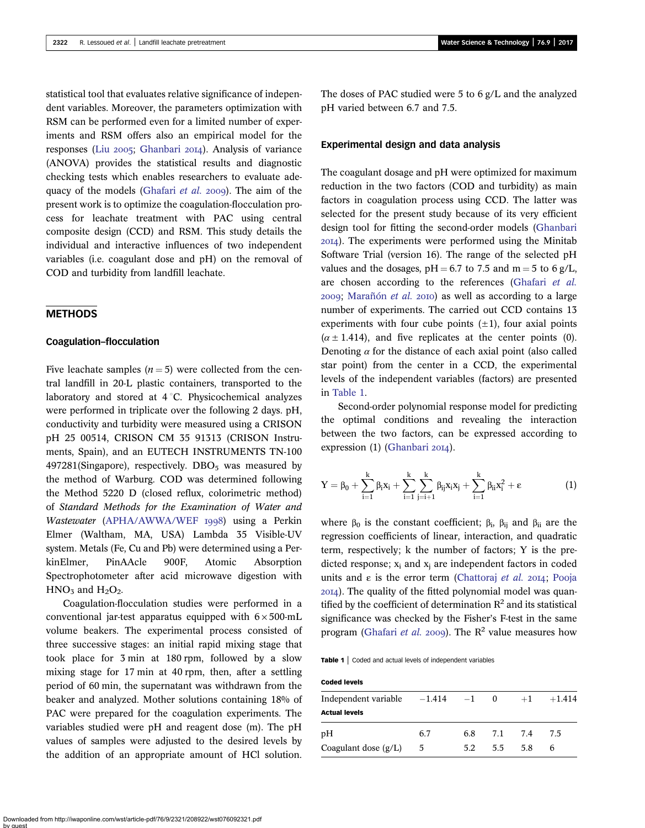statistical tool that evaluates relative significance of independent variables. Moreover, the parameters optimization with RSM can be performed even for a limited number of experiments and RSM offers also an empirical model for the responses (Liu 2005; [Ghanbari](#page-6-0) 2014). Analysis of variance (ANOVA) provides the statistical results and diagnostic checking tests which enables researchers to evaluate ade-quacy of the models [\(Ghafari](#page-6-0) et al.  $2009$ ). The aim of the present work is to optimize the coagulation-flocculation process for leachate treatment with PAC using central composite design (CCD) and RSM. This study details the individual and interactive influences of two independent variables (i.e. coagulant dose and pH) on the removal of COD and turbidity from landfill leachate.

# **METHODS**

#### Coagulation–flocculation

Five leachate samples  $(n = 5)$  were collected from the central landfill in 20-L plastic containers, transported to the laboratory and stored at  $4\degree C$ . Physicochemical analyzes were performed in triplicate over the following 2 days. pH, conductivity and turbidity were measured using a CRISON pH 25 00514, CRISON CM 35 91313 (CRISON Instruments, Spain), and an EUTECH INSTRUMENTS TN-100  $497281$ (Singapore), respectively. DBO<sub>5</sub> was measured by the method of Warburg. COD was determined following the Method 5220 D (closed reflux, colorimetric method) of Standard Methods for the Examination of Water and Wastewater ([APHA/AWWA/WEF](#page-5-0) 1998) using a Perkin Elmer (Waltham, MA, USA) Lambda 35 Visible-UV system. Metals (Fe, Cu and Pb) were determined using a PerkinElmer, PinAAcle 900F, Atomic Absorption Spectrophotometer after acid microwave digestion with  $HNO<sub>3</sub>$  and  $H<sub>2</sub>O<sub>2</sub>$ .

Coagulation-flocculation studies were performed in a conventional jar-test apparatus equipped with  $6 \times 500$ -mL volume beakers. The experimental process consisted of three successive stages: an initial rapid mixing stage that took place for 3 min at 180 rpm, followed by a slow mixing stage for 17 min at 40 rpm, then, after a settling period of 60 min, the supernatant was withdrawn from the beaker and analyzed. Mother solutions containing 18% of PAC were prepared for the coagulation experiments. The variables studied were pH and reagent dose (m). The pH values of samples were adjusted to the desired levels by the addition of an appropriate amount of HCl solution. The doses of PAC studied were 5 to 6 g/L and the analyzed pH varied between 6.7 and 7.5.

### Experimental design and data analysis

The coagulant dosage and pH were optimized for maximum reduction in the two factors (COD and turbidity) as main factors in coagulation process using CCD. The latter was selected for the present study because of its very efficient design tool for fitting the second-order models ([Ghanbari](#page-6-0) ). The experiments were performed using the Minitab Software Trial (version 16). The range of the selected pH values and the dosages,  $pH = 6.7$  to 7.5 and m = 5 to 6 g/L, are chosen according to the references [\(Ghafari](#page-6-0) et al.  $2009$ ; [Marañón](#page-6-0) et al.  $2010$ ) as well as according to a large number of experiments. The carried out CCD contains 13 experiments with four cube points  $(\pm 1)$ , four axial points  $(\alpha \pm 1.414)$ , and five replicates at the center points (0). Denoting  $\alpha$  for the distance of each axial point (also called star point) from the center in a CCD, the experimental levels of the independent variables (factors) are presented in Table 1.

Second-order polynomial response model for predicting the optimal conditions and revealing the interaction between the two factors, can be expressed according to expression (1) ([Ghanbari](#page-6-0) 2014).

$$
Y = \beta_0 + \sum_{i=1}^k \beta_i x_i + \sum_{i=1}^k \sum_{j=i+1}^k \beta_{ij} x_i x_j + \sum_{i=1}^k \beta_{ii} x_i^2 + \epsilon
$$
 (1)

where  $\beta_0$  is the constant coefficient;  $\beta_i$ ,  $\beta_{ii}$  and  $\beta_{ii}$  are the regression coefficients of linear, interaction, and quadratic term, respectively; k the number of factors; Y is the predicted response;  $x_i$  and  $x_i$  are independent factors in coded units and  $\varepsilon$  is the error term [\(Chattoraj](#page-6-0) et al. 2014; [Pooja](#page-6-0) ). The quality of the fitted polynomial model was quantified by the coefficient of determination  $R^2$  and its statistical significance was checked by the Fisher's F-test in the same program [\(Ghafari](#page-6-0) *et al.* 2009). The  $R^2$  value measures how

Table 1 | Coded and actual levels of independent variables

| <b>Coded levels</b>                |     |     |         |      |          |
|------------------------------------|-----|-----|---------|------|----------|
| Independent variable $-1.414 -1 0$ |     |     |         | $+1$ | $+1.414$ |
| <b>Actual levels</b>               |     |     |         |      |          |
| pН                                 | 6.7 | 6.8 | 7.1 7.4 |      | 7.5      |
| Coagulant dose $(g/L)$             | - 5 | 5.2 | 5.5     | 5.8  | 6        |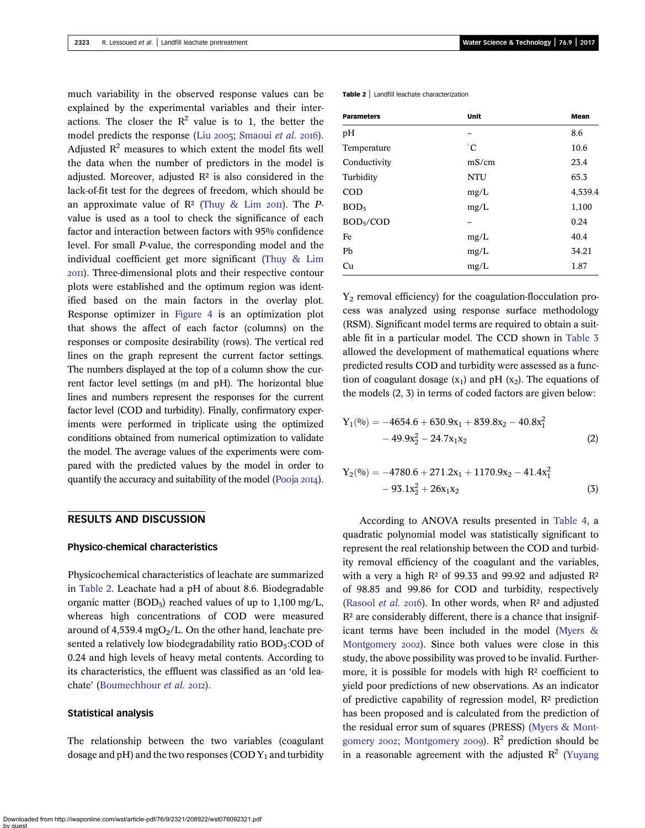much variability in the observed response values can be explained by the experimental variables and their interactions. The closer the  $R^2$  value is to 1, the better the model predicts the response (Liu 2005; [Smaoui](#page-6-0) et al. 2016). Adjusted  $R^2$  measures to which extent the model fits well the data when the number of predictors in the model is adjusted. Moreover, adjusted  $R<sup>2</sup>$  is also considered in the lack-of-fit test for the degrees of freedom, which should be an approximate value of  $\mathbb{R}^2$  ([Thuy & Lim](#page-6-0) 2011). The Pvalue is used as a tool to check the significance of each factor and interaction between factors with 95% confidence level. For small P-value, the corresponding model and the individual coefficient get more significant [\(Thuy & Lim](#page-6-0) ). Three-dimensional plots and their respective contour plots were established and the optimum region was identified based on the main factors in the overlay plot. Response optimizer in [Figure 4](#page-5-0) is an optimization plot that shows the affect of each factor (columns) on the responses or composite desirability (rows). The vertical red lines on the graph represent the current factor settings. The numbers displayed at the top of a column show the current factor level settings (m and pH). The horizontal blue lines and numbers represent the responses for the current factor level (COD and turbidity). Finally, confirmatory experiments were performed in triplicate using the optimized conditions obtained from numerical optimization to validate the model. The average values of the experiments were compared with the predicted values by the model in order to quantify the accuracy and suitability of the model [\(Pooja](#page-6-0)  $20I4$ ).

# RESULTS AND DISCUSSION

## Physico-chemical characteristics

Physicochemical characteristics of leachate are summarized in Table 2. Leachate had a pH of about 8.6. Biodegradable organic matter (BOD<sub>5</sub>) reached values of up to  $1,100 \text{ mg/L}$ , whereas high concentrations of COD were measured around of  $4,539.4$  mgO<sub>2</sub>/L. On the other hand, leachate presented a relatively low biodegradability ratio BOD<sub>5</sub>:COD of 0.24 and high levels of heavy metal contents. According to its characteristics, the effluent was classified as an 'old lea-chate' [\(Boumechhour](#page-6-0) et al. 2012).

#### Statistical analysis

The relationship between the two variables (coagulant dosage and  $pH$ ) and the two responses (COD  $Y_1$  and turbidity Table 2 | Landfill leachate characterization

| <b>Parameters</b>     | <b>Unit</b> | Mean    |
|-----------------------|-------------|---------|
| pH                    |             | 8.6     |
| Temperature           | $^{\circ}C$ | 10.6    |
| Conductivity          | mS/cm       | 23.4    |
| Turbidity             | NTU         | 65.3    |
| <b>COD</b>            | mg/L        | 4,539.4 |
| BOD <sub>5</sub>      | mg/L        | 1,100   |
| BOD <sub>5</sub> /COD |             | 0.24    |
| Fe                    | mg/L        | 40.4    |
| Pb                    | mg/L        | 34.21   |
| Cu                    | mg/L        | 1.87    |

 $Y_2$  removal efficiency) for the coagulation-flocculation process was analyzed using response surface methodology (RSM). Significant model terms are required to obtain a suitable fit in a particular model. The CCD shown in [Table 3](#page-3-0) allowed the development of mathematical equations where predicted results COD and turbidity were assessed as a function of coagulant dosage  $(x_1)$  and pH  $(x_2)$ . The equations of the models (2, 3) in terms of coded factors are given below:

$$
Y_1(^{0/0}) = -4654.6 + 630.9x_1 + 839.8x_2 - 40.8x_1^2
$$
  
- 49.9x<sub>2</sub><sup>2</sup> - 24.7x<sub>1</sub>x<sub>2</sub> (2)

$$
Y_2(\%) = -4780.6 + 271.2x_1 + 1170.9x_2 - 41.4x_1^2 -93.1x_2^2 + 26x_1x_2 \tag{3}
$$

According to ANOVA results presented in [Table 4,](#page-3-0) a quadratic polynomial model was statistically significant to represent the real relationship between the COD and turbidity removal efficiency of the coagulant and the variables, with a very a high  $R^2$  of 99.33 and 99.92 and adjusted  $R^2$ of 98.85 and 99.86 for COD and turbidity, respectively [\(Rasool](#page-6-0) et al. 2016). In other words, when  $R<sup>2</sup>$  and adjusted  $R<sup>2</sup>$  are considerably different, there is a chance that insignificant terms have been included in the model [\(Myers &](#page-6-0) [Montgomery](#page-6-0) 2002). Since both values were close in this study, the above possibility was proved to be invalid. Furthermore, it is possible for models with high R<sup>2</sup> coefficient to yield poor predictions of new observations. As an indicator of predictive capability of regression model,  $\mathbb{R}^2$  prediction has been proposed and is calculated from the prediction of the residual error sum of squares (PRESS) ([Myers & Mont](#page-6-0)[gomery](#page-6-0) 2002; [Montgomery](#page-6-0) 2009).  $R^2$  prediction should be in a reasonable agreement with the adjusted  $\mathbb{R}^2$  [\(Yuyang](#page-6-0)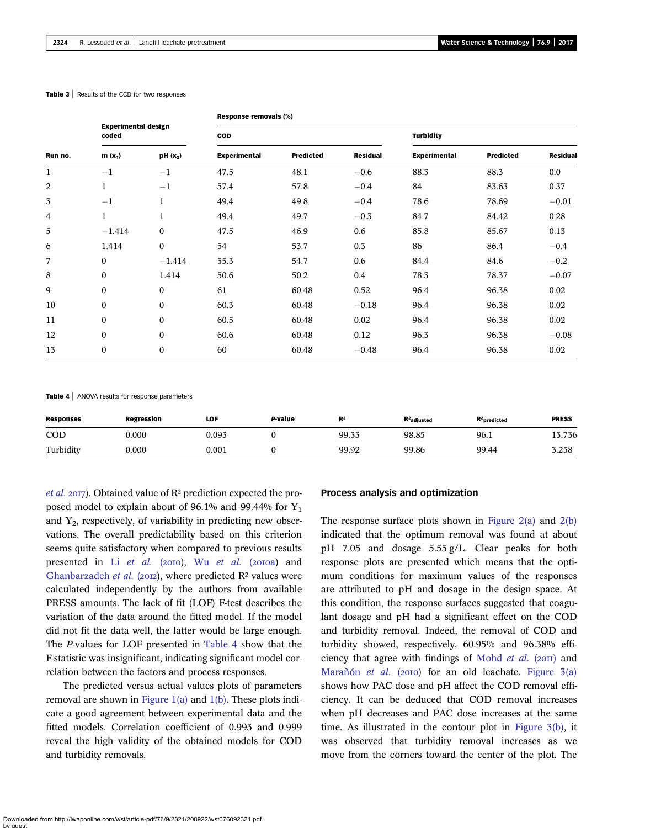#### <span id="page-3-0"></span>Table 3 | Results of the CCD for two responses

| <b>Experimental design</b><br>coded<br>$m(x_1)$<br>Run no. |                  |                      | Response removals (%) |                  |                 |                     |                  |                 |  |
|------------------------------------------------------------|------------------|----------------------|-----------------------|------------------|-----------------|---------------------|------------------|-----------------|--|
|                                                            |                  |                      | <b>COD</b>            |                  |                 | <b>Turbidity</b>    |                  |                 |  |
|                                                            |                  | PH (X <sub>2</sub> ) | <b>Experimental</b>   | <b>Predicted</b> | <b>Residual</b> | <b>Experimental</b> | <b>Predicted</b> | <b>Residual</b> |  |
| $\mathbf{1}$                                               | $-1$             | $-1$                 | 47.5                  | 48.1             | $-0.6$          | 88.3                | 88.3             | 0.0             |  |
| 2                                                          | $\mathbf{1}$     | $-1$                 | 57.4                  | 57.8             | $-0.4$          | 84                  | 83.63            | 0.37            |  |
| 3                                                          | $-1$             | $\mathbf{1}$         | 49.4                  | 49.8             | $-0.4$          | 78.6                | 78.69            | $-0.01$         |  |
| 4                                                          | $\mathbf{1}$     | $\mathbf{1}$         | 49.4                  | 49.7             | $-0.3$          | 84.7                | 84.42            | 0.28            |  |
| 5                                                          | $-1.414$         | $\boldsymbol{0}$     | 47.5                  | 46.9             | 0.6             | 85.8                | 85.67            | 0.13            |  |
| 6                                                          | 1.414            | $\boldsymbol{0}$     | 54                    | 53.7             | 0.3             | 86                  | 86.4             | $-0.4$          |  |
| 7                                                          | $\boldsymbol{0}$ | $-1.414$             | 55.3                  | 54.7             | 0.6             | 84.4                | 84.6             | $-0.2$          |  |
| 8                                                          | $\boldsymbol{0}$ | 1.414                | 50.6                  | 50.2             | 0.4             | 78.3                | 78.37            | $-0.07$         |  |
| 9                                                          | $\boldsymbol{0}$ | $\boldsymbol{0}$     | 61                    | 60.48            | 0.52            | 96.4                | 96.38            | 0.02            |  |
| 10                                                         | $\boldsymbol{0}$ | $\boldsymbol{0}$     | 60.3                  | 60.48            | $-0.18$         | 96.4                | 96.38            | 0.02            |  |
| 11                                                         | $\boldsymbol{0}$ | $\boldsymbol{0}$     | 60.5                  | 60.48            | 0.02            | 96.4                | 96.38            | 0.02            |  |
| 12                                                         | $\boldsymbol{0}$ | $\boldsymbol{0}$     | 60.6                  | 60.48            | 0.12            | 96.3                | 96.38            | $-0.08$         |  |
| 13                                                         | 0                | $\boldsymbol{0}$     | 60                    | 60.48            | $-0.48$         | 96.4                | 96.38            | 0.02            |  |

Table 4 | ANOVA results for response parameters

| <b>Responses</b> | <b>Regression</b> | LOF   | P-value | R <sup>2</sup> | $R2$ adjusted | $R2$ predicted | <b>PRESS</b> |
|------------------|-------------------|-------|---------|----------------|---------------|----------------|--------------|
| COD              | 0.000             | 0.093 |         | 99.33          | 98.85         | 96.1           | 13.736       |
| Turbidity        | 0.000             | 0.001 |         | 99.92          | 99.86         | 99.44          | 3.258        |

*[et al.](#page-6-0)* 2017). Obtained value of  $\mathbb{R}^2$  prediction expected the proposed model to explain about of 96.1% and 99.44% for  $Y_1$ and  $Y_2$ , respectively, of variability in predicting new observations. The overall predictability based on this criterion seems quite satisfactory when compared to previous results presented in Li [et al.](#page-6-0) (2010), Wu et al. (2010a) and [Ghanbarzadeh](#page-6-0) et al. (2012), where predicted  $R<sup>2</sup>$  values were calculated independently by the authors from available PRESS amounts. The lack of fit (LOF) F-test describes the variation of the data around the fitted model. If the model did not fit the data well, the latter would be large enough. The P-values for LOF presented in Table 4 show that the F-statistic was insignificant, indicating significant model correlation between the factors and process responses.

The predicted versus actual values plots of parameters removal are shown in Figure  $1(a)$  and  $1(b)$ . These plots indicate a good agreement between experimental data and the fitted models. Correlation coefficient of 0.993 and 0.999 reveal the high validity of the obtained models for COD and turbidity removals.

#### Process analysis and optimization

The response surface plots shown in [Figure 2\(a\)](#page-4-0) and [2\(b\)](#page-4-0) indicated that the optimum removal was found at about pH 7.05 and dosage 5.55 g/L. Clear peaks for both response plots are presented which means that the optimum conditions for maximum values of the responses are attributed to pH and dosage in the design space. At this condition, the response surfaces suggested that coagulant dosage and pH had a significant effect on the COD and turbidity removal. Indeed, the removal of COD and turbidity showed, respectively, 60.95% and 96.38% effi-ciency that agree with findings of [Mohd](#page-6-0) et al.  $(20II)$  and [Marañón](#page-6-0) et al. (2010) for an old leachate. Figure  $3(a)$ shows how PAC dose and pH affect the COD removal efficiency. It can be deduced that COD removal increases when pH decreases and PAC dose increases at the same time. As illustrated in the contour plot in [Figure 3\(b\)](#page-4-0), it was observed that turbidity removal increases as we move from the corners toward the center of the plot. The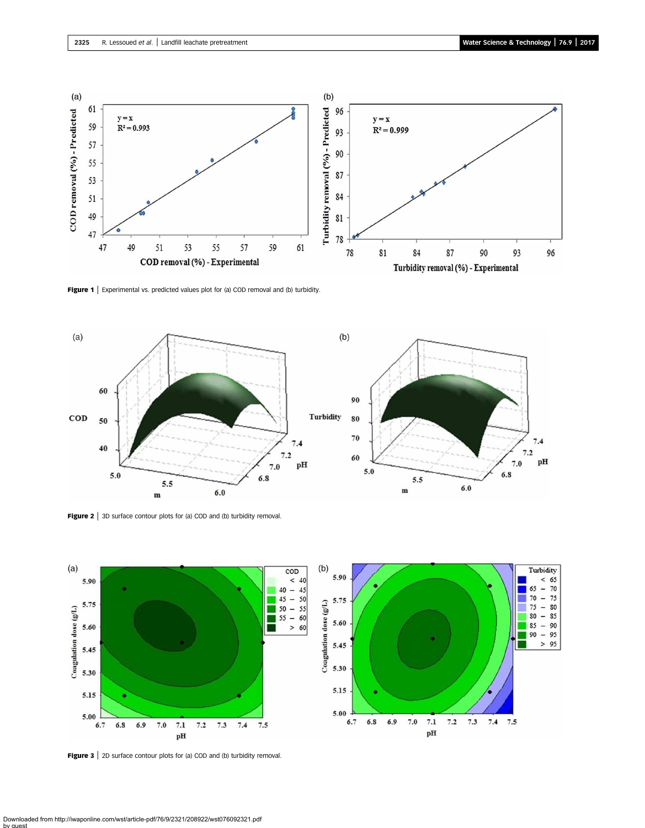<span id="page-4-0"></span>

Figure 1 | Experimental vs. predicted values plot for (a) COD removal and (b) turbidity.



Figure 2 | 3D surface contour plots for (a) COD and (b) turbidity removal.



Figure 3 | 2D surface contour plots for (a) COD and (b) turbidity removal.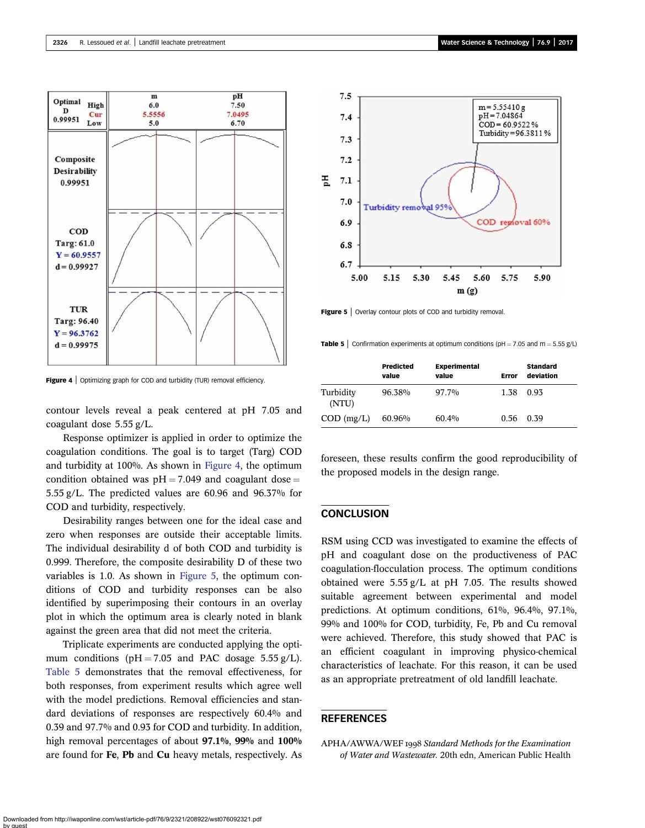<span id="page-5-0"></span>

Figure 4 | Optimizing graph for COD and turbidity (TUR) removal efficiency.

contour levels reveal a peak centered at pH 7.05 and coagulant dose 5.55 g/L.

Response optimizer is applied in order to optimize the coagulation conditions. The goal is to target (Targ) COD and turbidity at 100%. As shown in Figure 4, the optimum condition obtained was  $pH = 7.049$  and coagulant dose = 5.55 g/L. The predicted values are 60.96 and 96.37% for COD and turbidity, respectively.

Desirability ranges between one for the ideal case and zero when responses are outside their acceptable limits. The individual desirability d of both COD and turbidity is 0.999. Therefore, the composite desirability D of these two variables is 1.0. As shown in Figure 5, the optimum conditions of COD and turbidity responses can be also identified by superimposing their contours in an overlay plot in which the optimum area is clearly noted in blank against the green area that did not meet the criteria.

Triplicate experiments are conducted applying the optimum conditions ( $pH = 7.05$  and PAC dosage 5.55 g/L). Table 5 demonstrates that the removal effectiveness, for both responses, from experiment results which agree well with the model predictions. Removal efficiencies and standard deviations of responses are respectively 60.4% and 0.39 and 97.7% and 0.93 for COD and turbidity. In addition, high removal percentages of about 97.1%, 99% and 100% are found for Fe, Pb and Cu heavy metals, respectively. As



Figure 5 | Overlay contour plots of COD and turbidity removal

**Table 5** Confirmation experiments at optimum conditions (pH = 7.05 and m = 5.55 g/L)

|                    | <b>Predicted</b><br>value | <b>Experimental</b><br>value | Error | <b>Standard</b><br>deviation |
|--------------------|---------------------------|------------------------------|-------|------------------------------|
| Turbidity<br>(NTU) | 96.38%                    | 97.7%                        | 1.38  | 0.93                         |
| $COD$ (mg/L)       | 60.96%                    | $60.4\%$                     | 0.56  | 0.39                         |

foreseen, these results confirm the good reproducibility of the proposed models in the design range.

## **CONCLUSION**

RSM using CCD was investigated to examine the effects of pH and coagulant dose on the productiveness of PAC coagulation-flocculation process. The optimum conditions obtained were 5.55 g/L at pH 7.05. The results showed suitable agreement between experimental and model predictions. At optimum conditions, 61%, 96.4%, 97.1%, 99% and 100% for COD, turbidity, Fe, Pb and Cu removal were achieved. Therefore, this study showed that PAC is an efficient coagulant in improving physico-chemical characteristics of leachate. For this reason, it can be used as an appropriate pretreatment of old landfill leachate.

## REFERENCES

APHA/AWWA/WEF 1998 Standard Methods for the Examination of Water and Wastewater. 20th edn, American Public Health